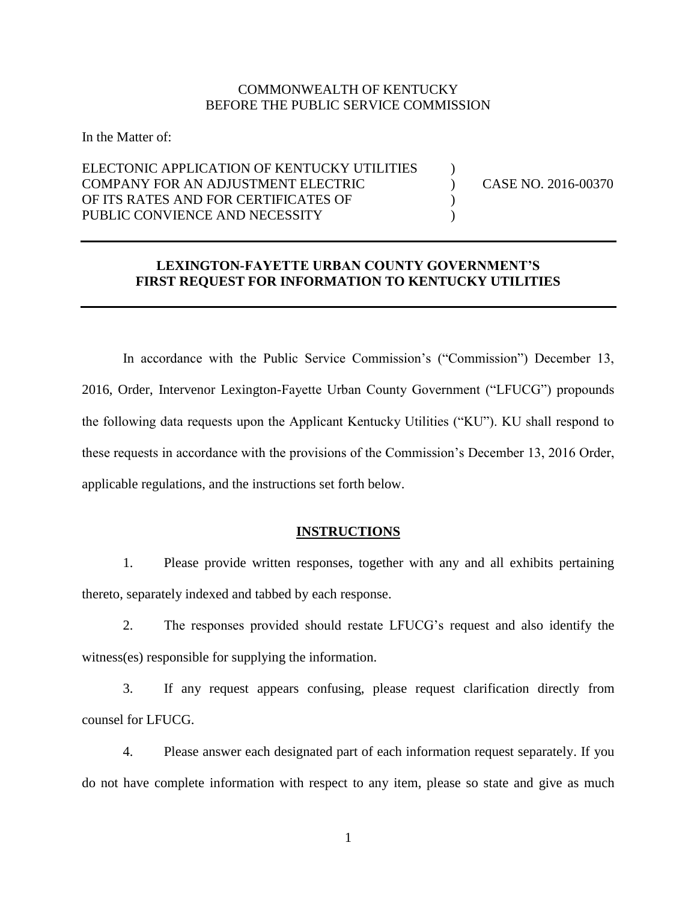## COMMONWEALTH OF KENTUCKY BEFORE THE PUBLIC SERVICE COMMISSION

In the Matter of:

# ELECTONIC APPLICATION OF KENTUCKY UTILITIES  $\qquad \qquad$  ) COMPANY FOR AN ADJUSTMENT ELECTRIC ) CASE NO. 2016-00370 OF ITS RATES AND FOR CERTIFICATES OF  $($ PUBLIC CONVIENCE AND NECESSITY (1997)

### **LEXINGTON-FAYETTE URBAN COUNTY GOVERNMENT'S FIRST REQUEST FOR INFORMATION TO KENTUCKY UTILITIES**

In accordance with the Public Service Commission's ("Commission") December 13, 2016, Order, Intervenor Lexington-Fayette Urban County Government ("LFUCG") propounds the following data requests upon the Applicant Kentucky Utilities ("KU"). KU shall respond to these requests in accordance with the provisions of the Commission's December 13, 2016 Order, applicable regulations, and the instructions set forth below.

### **INSTRUCTIONS**

1. Please provide written responses, together with any and all exhibits pertaining thereto, separately indexed and tabbed by each response.

2. The responses provided should restate LFUCG's request and also identify the witness(es) responsible for supplying the information.

3. If any request appears confusing, please request clarification directly from counsel for LFUCG.

4. Please answer each designated part of each information request separately. If you do not have complete information with respect to any item, please so state and give as much

1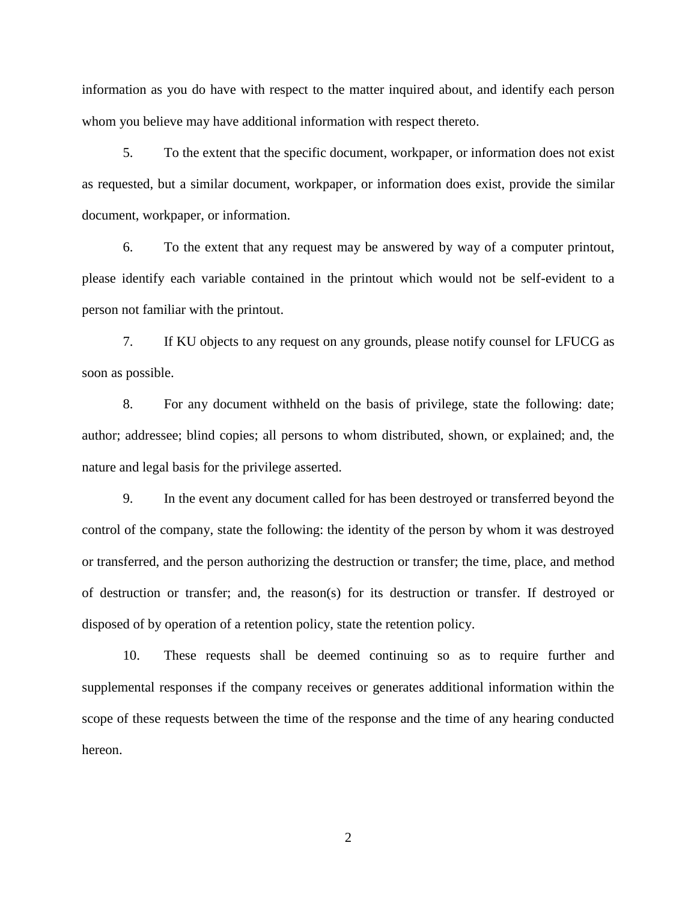information as you do have with respect to the matter inquired about, and identify each person whom you believe may have additional information with respect thereto.

5. To the extent that the specific document, workpaper, or information does not exist as requested, but a similar document, workpaper, or information does exist, provide the similar document, workpaper, or information.

6. To the extent that any request may be answered by way of a computer printout, please identify each variable contained in the printout which would not be self-evident to a person not familiar with the printout.

7. If KU objects to any request on any grounds, please notify counsel for LFUCG as soon as possible.

8. For any document withheld on the basis of privilege, state the following: date; author; addressee; blind copies; all persons to whom distributed, shown, or explained; and, the nature and legal basis for the privilege asserted.

9. In the event any document called for has been destroyed or transferred beyond the control of the company, state the following: the identity of the person by whom it was destroyed or transferred, and the person authorizing the destruction or transfer; the time, place, and method of destruction or transfer; and, the reason(s) for its destruction or transfer. If destroyed or disposed of by operation of a retention policy, state the retention policy.

10. These requests shall be deemed continuing so as to require further and supplemental responses if the company receives or generates additional information within the scope of these requests between the time of the response and the time of any hearing conducted hereon.

2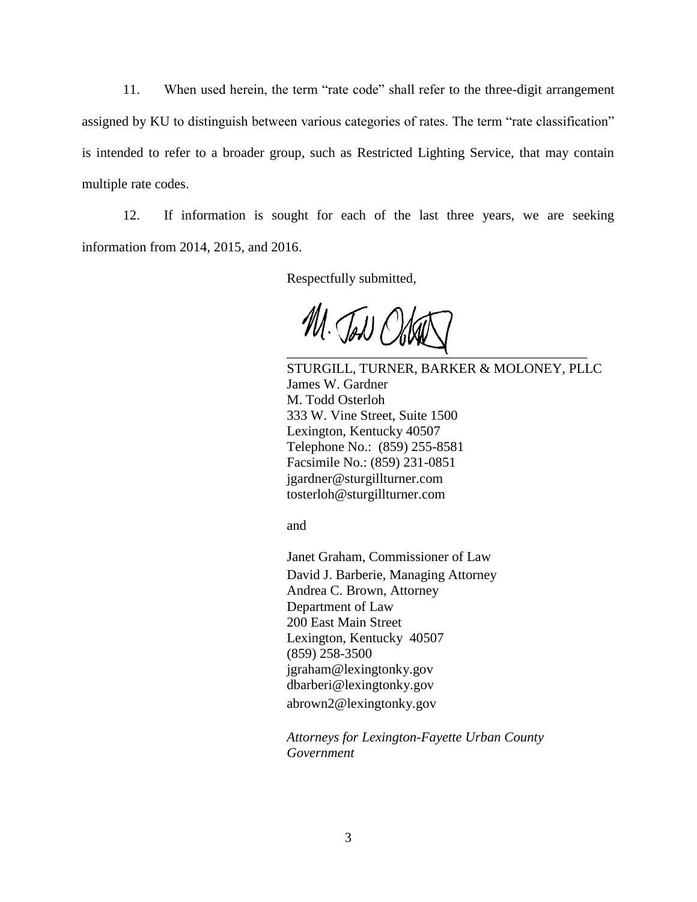11. When used herein, the term "rate code" shall refer to the three-digit arrangement assigned by KU to distinguish between various categories of rates. The term "rate classification" is intended to refer to a broader group, such as Restricted Lighting Service, that may contain multiple rate codes.

12. If information is sought for each of the last three years, we are seeking information from 2014, 2015, and 2016.

Respectfully submitted,

M. Jow O \_\_\_\_\_\_\_\_\_\_\_\_\_\_\_\_\_\_\_\_\_\_\_\_\_\_\_\_\_\_\_\_\_\_\_\_\_\_\_\_\_\_\_\_

STURGILL, TURNER, BARKER & MOLONEY, PLLC James W. Gardner M. Todd Osterloh 333 W. Vine Street, Suite 1500 Lexington, Kentucky 40507 Telephone No.: (859) 255-8581 Facsimile No.: (859) 231-0851 jgardner@sturgillturner.com tosterloh@sturgillturner.com

and

Janet Graham, Commissioner of Law David J. Barberie, Managing Attorney Andrea C. Brown, Attorney Department of Law 200 East Main Street Lexington, Kentucky 40507 (859) 258-3500 jgraham@lexingtonky.gov dbarberi@lexingtonky.gov abrown2@lexingtonky.gov

*Attorneys for Lexington-Fayette Urban County Government*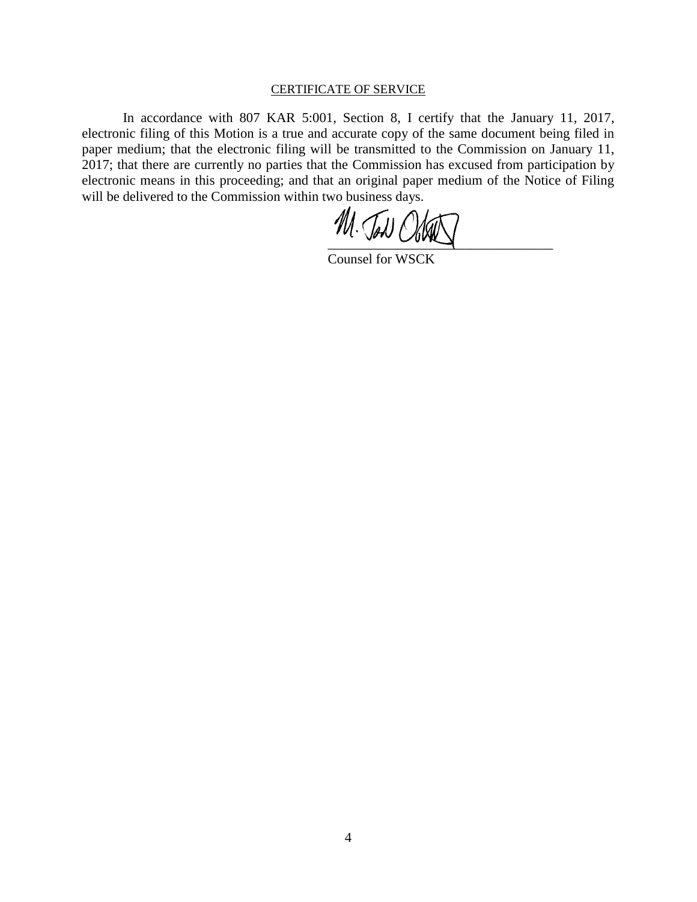#### CERTIFICATE OF SERVICE

In accordance with 807 KAR 5:001, Section 8, I certify that the January 11, 2017, electronic filing of this Motion is a true and accurate copy of the same document being filed in paper medium; that the electronic filing will be transmitted to the Commission on January 11, 2017; that there are currently no parties that the Commission has excused from participation by electronic means in this proceeding; and that an original paper medium of the Notice of Filing will be delivered to the Commission within two business days.

 $\frac{1}{2}$ 

Counsel for WSCK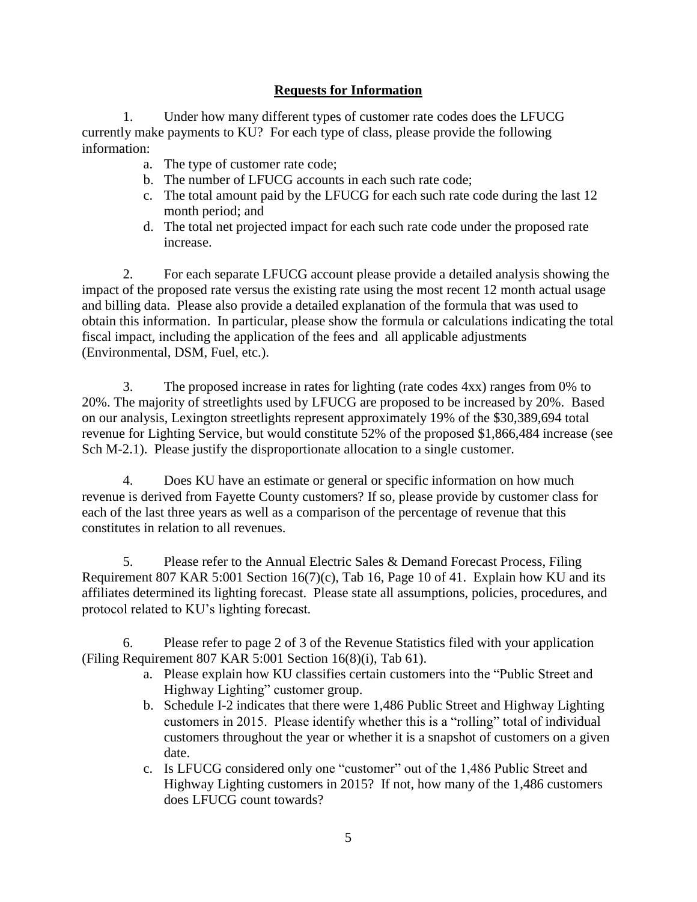# **Requests for Information**

1. Under how many different types of customer rate codes does the LFUCG currently make payments to KU? For each type of class, please provide the following information:

- a. The type of customer rate code;
- b. The number of LFUCG accounts in each such rate code;
- c. The total amount paid by the LFUCG for each such rate code during the last 12 month period; and
- d. The total net projected impact for each such rate code under the proposed rate increase.

2. For each separate LFUCG account please provide a detailed analysis showing the impact of the proposed rate versus the existing rate using the most recent 12 month actual usage and billing data. Please also provide a detailed explanation of the formula that was used to obtain this information. In particular, please show the formula or calculations indicating the total fiscal impact, including the application of the fees and all applicable adjustments (Environmental, DSM, Fuel, etc.).

3. The proposed increase in rates for lighting (rate codes 4xx) ranges from 0% to 20%. The majority of streetlights used by LFUCG are proposed to be increased by 20%. Based on our analysis, Lexington streetlights represent approximately 19% of the \$30,389,694 total revenue for Lighting Service, but would constitute 52% of the proposed \$1,866,484 increase (see Sch M-2.1). Please justify the disproportionate allocation to a single customer.

4. Does KU have an estimate or general or specific information on how much revenue is derived from Fayette County customers? If so, please provide by customer class for each of the last three years as well as a comparison of the percentage of revenue that this constitutes in relation to all revenues.

5. Please refer to the Annual Electric Sales & Demand Forecast Process, Filing Requirement 807 KAR 5:001 Section 16(7)(c), Tab 16, Page 10 of 41. Explain how KU and its affiliates determined its lighting forecast. Please state all assumptions, policies, procedures, and protocol related to KU's lighting forecast.

6. Please refer to page 2 of 3 of the Revenue Statistics filed with your application (Filing Requirement 807 KAR 5:001 Section 16(8)(i), Tab 61).

- a. Please explain how KU classifies certain customers into the "Public Street and Highway Lighting" customer group.
- b. Schedule I-2 indicates that there were 1,486 Public Street and Highway Lighting customers in 2015. Please identify whether this is a "rolling" total of individual customers throughout the year or whether it is a snapshot of customers on a given date.
- c. Is LFUCG considered only one "customer" out of the 1,486 Public Street and Highway Lighting customers in 2015? If not, how many of the 1,486 customers does LFUCG count towards?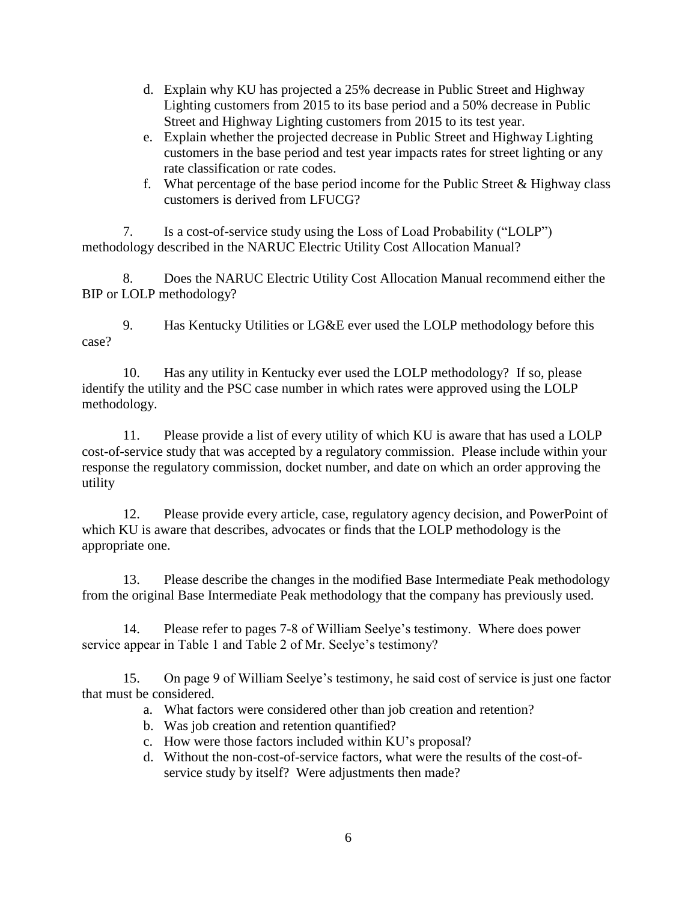- d. Explain why KU has projected a 25% decrease in Public Street and Highway Lighting customers from 2015 to its base period and a 50% decrease in Public Street and Highway Lighting customers from 2015 to its test year.
- e. Explain whether the projected decrease in Public Street and Highway Lighting customers in the base period and test year impacts rates for street lighting or any rate classification or rate codes.
- f. What percentage of the base period income for the Public Street  $&$  Highway class customers is derived from LFUCG?

7. Is a cost-of-service study using the Loss of Load Probability ("LOLP") methodology described in the NARUC Electric Utility Cost Allocation Manual?

8. Does the NARUC Electric Utility Cost Allocation Manual recommend either the BIP or LOLP methodology?

9. Has Kentucky Utilities or LG&E ever used the LOLP methodology before this case?

10. Has any utility in Kentucky ever used the LOLP methodology? If so, please identify the utility and the PSC case number in which rates were approved using the LOLP methodology.

11. Please provide a list of every utility of which KU is aware that has used a LOLP cost-of-service study that was accepted by a regulatory commission. Please include within your response the regulatory commission, docket number, and date on which an order approving the utility

12. Please provide every article, case, regulatory agency decision, and PowerPoint of which KU is aware that describes, advocates or finds that the LOLP methodology is the appropriate one.

13. Please describe the changes in the modified Base Intermediate Peak methodology from the original Base Intermediate Peak methodology that the company has previously used.

14. Please refer to pages 7-8 of William Seelye's testimony. Where does power service appear in Table 1 and Table 2 of Mr. Seelye's testimony?

15. On page 9 of William Seelye's testimony, he said cost of service is just one factor that must be considered.

- a. What factors were considered other than job creation and retention?
- b. Was job creation and retention quantified?
- c. How were those factors included within KU's proposal?
- d. Without the non-cost-of-service factors, what were the results of the cost-ofservice study by itself? Were adjustments then made?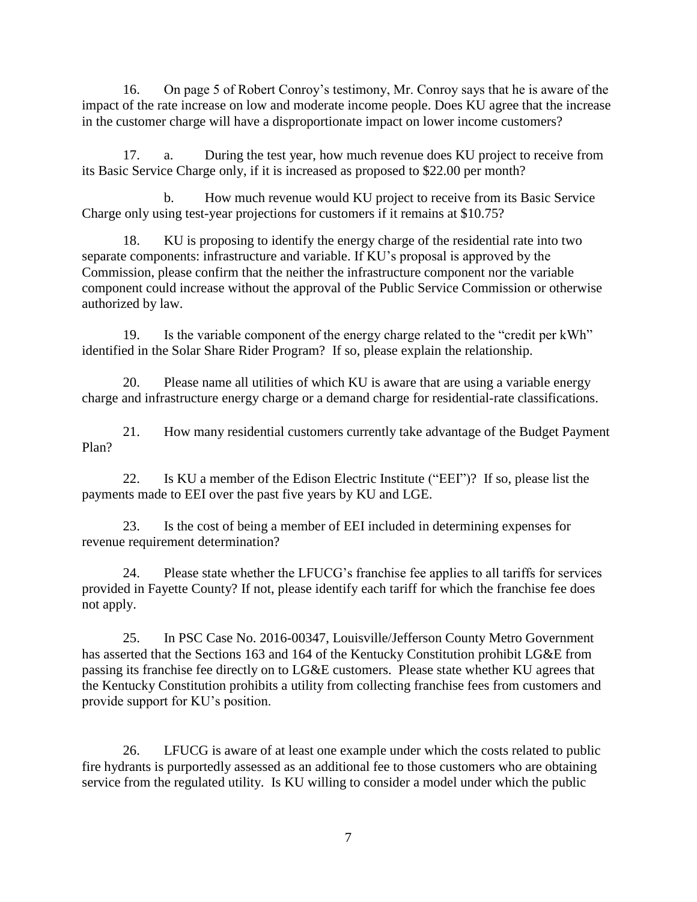16. On page 5 of Robert Conroy's testimony, Mr. Conroy says that he is aware of the impact of the rate increase on low and moderate income people. Does KU agree that the increase in the customer charge will have a disproportionate impact on lower income customers?

17. a. During the test year, how much revenue does KU project to receive from its Basic Service Charge only, if it is increased as proposed to \$22.00 per month?

b. How much revenue would KU project to receive from its Basic Service Charge only using test-year projections for customers if it remains at \$10.75?

18. KU is proposing to identify the energy charge of the residential rate into two separate components: infrastructure and variable. If KU's proposal is approved by the Commission, please confirm that the neither the infrastructure component nor the variable component could increase without the approval of the Public Service Commission or otherwise authorized by law.

19. Is the variable component of the energy charge related to the "credit per kWh" identified in the Solar Share Rider Program? If so, please explain the relationship.

20. Please name all utilities of which KU is aware that are using a variable energy charge and infrastructure energy charge or a demand charge for residential-rate classifications.

21. How many residential customers currently take advantage of the Budget Payment Plan?

22. Is KU a member of the Edison Electric Institute ("EEI")? If so, please list the payments made to EEI over the past five years by KU and LGE.

23. Is the cost of being a member of EEI included in determining expenses for revenue requirement determination?

24. Please state whether the LFUCG's franchise fee applies to all tariffs for services provided in Fayette County? If not, please identify each tariff for which the franchise fee does not apply.

25. In PSC Case No. 2016-00347, Louisville/Jefferson County Metro Government has asserted that the Sections 163 and 164 of the Kentucky Constitution prohibit LG&E from passing its franchise fee directly on to LG&E customers. Please state whether KU agrees that the Kentucky Constitution prohibits a utility from collecting franchise fees from customers and provide support for KU's position.

26. LFUCG is aware of at least one example under which the costs related to public fire hydrants is purportedly assessed as an additional fee to those customers who are obtaining service from the regulated utility. Is KU willing to consider a model under which the public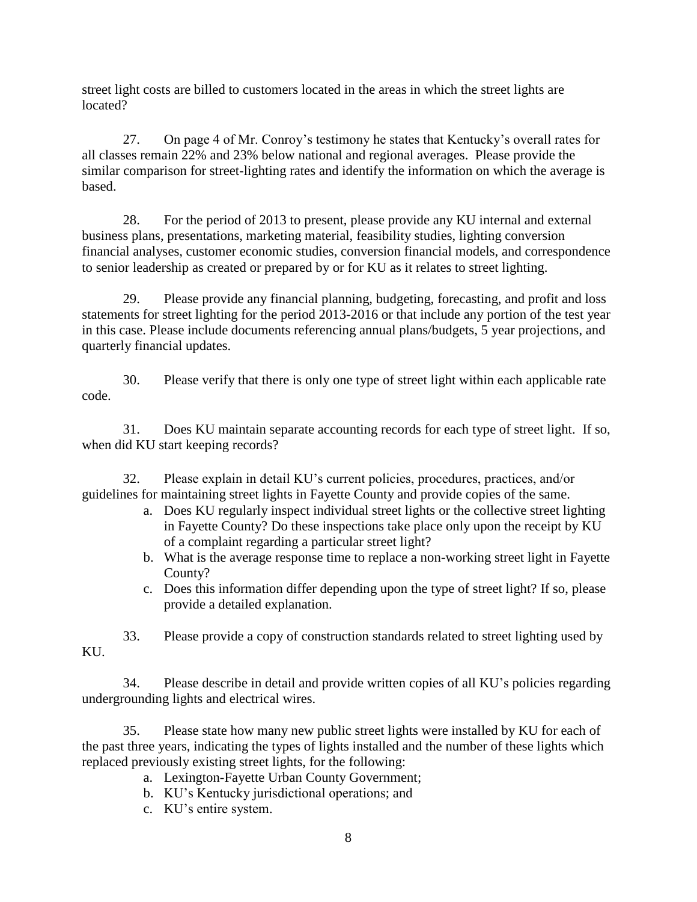street light costs are billed to customers located in the areas in which the street lights are located?

27. On page 4 of Mr. Conroy's testimony he states that Kentucky's overall rates for all classes remain 22% and 23% below national and regional averages. Please provide the similar comparison for street-lighting rates and identify the information on which the average is based.

28. For the period of 2013 to present, please provide any KU internal and external business plans, presentations, marketing material, feasibility studies, lighting conversion financial analyses, customer economic studies, conversion financial models, and correspondence to senior leadership as created or prepared by or for KU as it relates to street lighting.

29. Please provide any financial planning, budgeting, forecasting, and profit and loss statements for street lighting for the period 2013-2016 or that include any portion of the test year in this case. Please include documents referencing annual plans/budgets, 5 year projections, and quarterly financial updates.

30. Please verify that there is only one type of street light within each applicable rate code.

31. Does KU maintain separate accounting records for each type of street light. If so, when did KU start keeping records?

32. Please explain in detail KU's current policies, procedures, practices, and/or guidelines for maintaining street lights in Fayette County and provide copies of the same.

- a. Does KU regularly inspect individual street lights or the collective street lighting in Fayette County? Do these inspections take place only upon the receipt by KU of a complaint regarding a particular street light?
- b. What is the average response time to replace a non-working street light in Fayette County?
- c. Does this information differ depending upon the type of street light? If so, please provide a detailed explanation.

33. Please provide a copy of construction standards related to street lighting used by KU.

34. Please describe in detail and provide written copies of all KU's policies regarding undergrounding lights and electrical wires.

35. Please state how many new public street lights were installed by KU for each of the past three years, indicating the types of lights installed and the number of these lights which replaced previously existing street lights, for the following:

a. Lexington-Fayette Urban County Government;

- b. KU's Kentucky jurisdictional operations; and
- c. KU's entire system.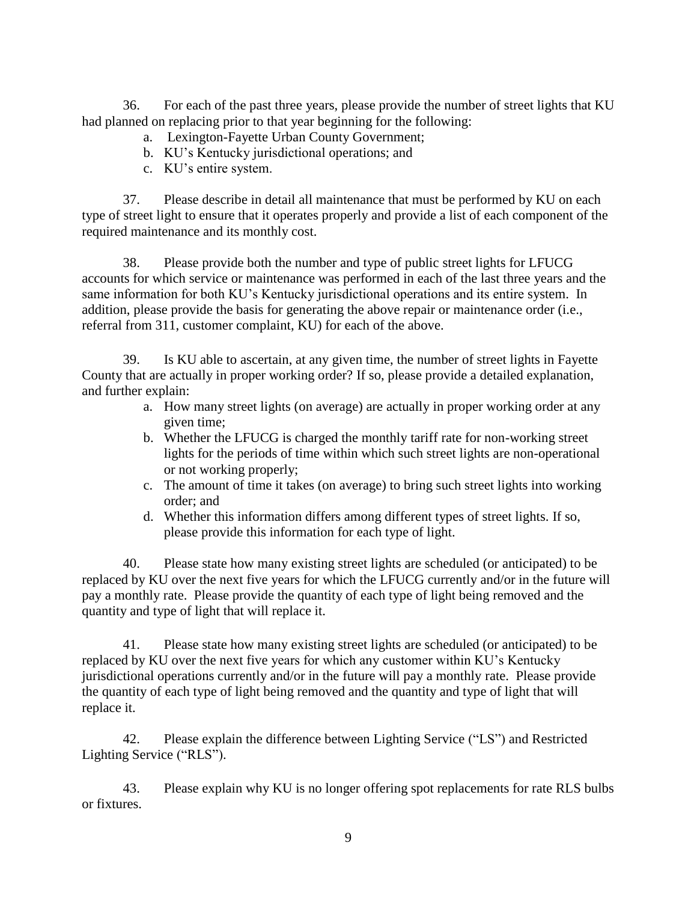36. For each of the past three years, please provide the number of street lights that KU had planned on replacing prior to that year beginning for the following:

- a. Lexington-Fayette Urban County Government;
- b. KU's Kentucky jurisdictional operations; and
- c. KU's entire system.

37. Please describe in detail all maintenance that must be performed by KU on each type of street light to ensure that it operates properly and provide a list of each component of the required maintenance and its monthly cost.

38. Please provide both the number and type of public street lights for LFUCG accounts for which service or maintenance was performed in each of the last three years and the same information for both KU's Kentucky jurisdictional operations and its entire system. In addition, please provide the basis for generating the above repair or maintenance order (i.e., referral from 311, customer complaint, KU) for each of the above.

39. Is KU able to ascertain, at any given time, the number of street lights in Fayette County that are actually in proper working order? If so, please provide a detailed explanation, and further explain:

- a. How many street lights (on average) are actually in proper working order at any given time;
- b. Whether the LFUCG is charged the monthly tariff rate for non-working street lights for the periods of time within which such street lights are non-operational or not working properly;
- c. The amount of time it takes (on average) to bring such street lights into working order; and
- d. Whether this information differs among different types of street lights. If so, please provide this information for each type of light.

40. Please state how many existing street lights are scheduled (or anticipated) to be replaced by KU over the next five years for which the LFUCG currently and/or in the future will pay a monthly rate. Please provide the quantity of each type of light being removed and the quantity and type of light that will replace it.

41. Please state how many existing street lights are scheduled (or anticipated) to be replaced by KU over the next five years for which any customer within KU's Kentucky jurisdictional operations currently and/or in the future will pay a monthly rate. Please provide the quantity of each type of light being removed and the quantity and type of light that will replace it.

42. Please explain the difference between Lighting Service ("LS") and Restricted Lighting Service ("RLS").

43. Please explain why KU is no longer offering spot replacements for rate RLS bulbs or fixtures.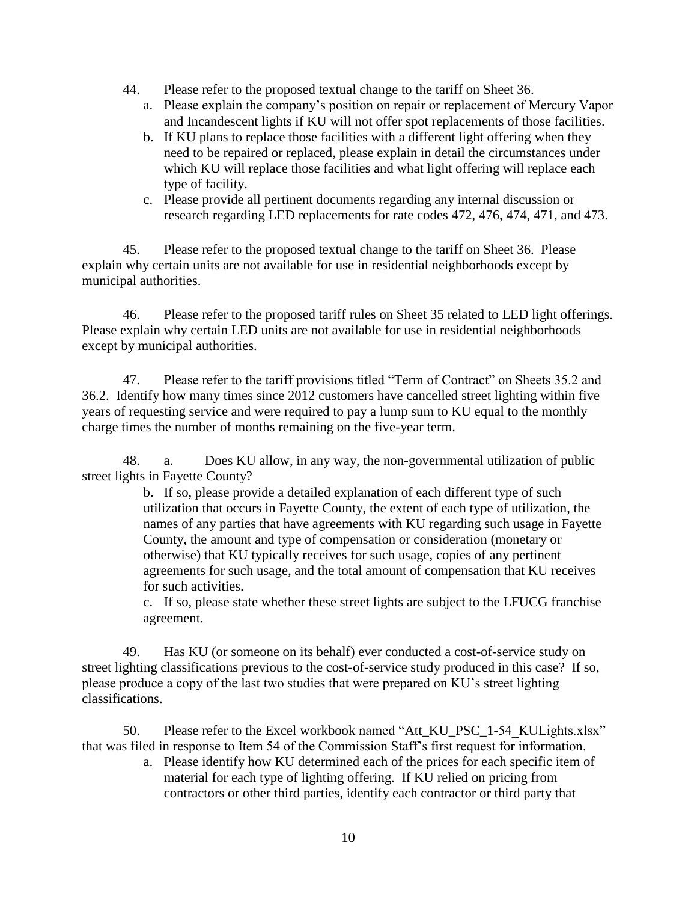- 44. Please refer to the proposed textual change to the tariff on Sheet 36.
	- a. Please explain the company's position on repair or replacement of Mercury Vapor and Incandescent lights if KU will not offer spot replacements of those facilities.
	- b. If KU plans to replace those facilities with a different light offering when they need to be repaired or replaced, please explain in detail the circumstances under which KU will replace those facilities and what light offering will replace each type of facility.
	- c. Please provide all pertinent documents regarding any internal discussion or research regarding LED replacements for rate codes 472, 476, 474, 471, and 473.

45. Please refer to the proposed textual change to the tariff on Sheet 36. Please explain why certain units are not available for use in residential neighborhoods except by municipal authorities.

46. Please refer to the proposed tariff rules on Sheet 35 related to LED light offerings. Please explain why certain LED units are not available for use in residential neighborhoods except by municipal authorities.

47. Please refer to the tariff provisions titled "Term of Contract" on Sheets 35.2 and 36.2. Identify how many times since 2012 customers have cancelled street lighting within five years of requesting service and were required to pay a lump sum to KU equal to the monthly charge times the number of months remaining on the five-year term.

48. a. Does KU allow, in any way, the non-governmental utilization of public street lights in Fayette County?

> b. If so, please provide a detailed explanation of each different type of such utilization that occurs in Fayette County, the extent of each type of utilization, the names of any parties that have agreements with KU regarding such usage in Fayette County, the amount and type of compensation or consideration (monetary or otherwise) that KU typically receives for such usage, copies of any pertinent agreements for such usage, and the total amount of compensation that KU receives for such activities.

> c. If so, please state whether these street lights are subject to the LFUCG franchise agreement.

49. Has KU (or someone on its behalf) ever conducted a cost-of-service study on street lighting classifications previous to the cost-of-service study produced in this case? If so, please produce a copy of the last two studies that were prepared on KU's street lighting classifications.

50. Please refer to the Excel workbook named "Att\_KU\_PSC\_1-54\_KULights.xlsx" that was filed in response to Item 54 of the Commission Staff's first request for information.

a. Please identify how KU determined each of the prices for each specific item of material for each type of lighting offering. If KU relied on pricing from contractors or other third parties, identify each contractor or third party that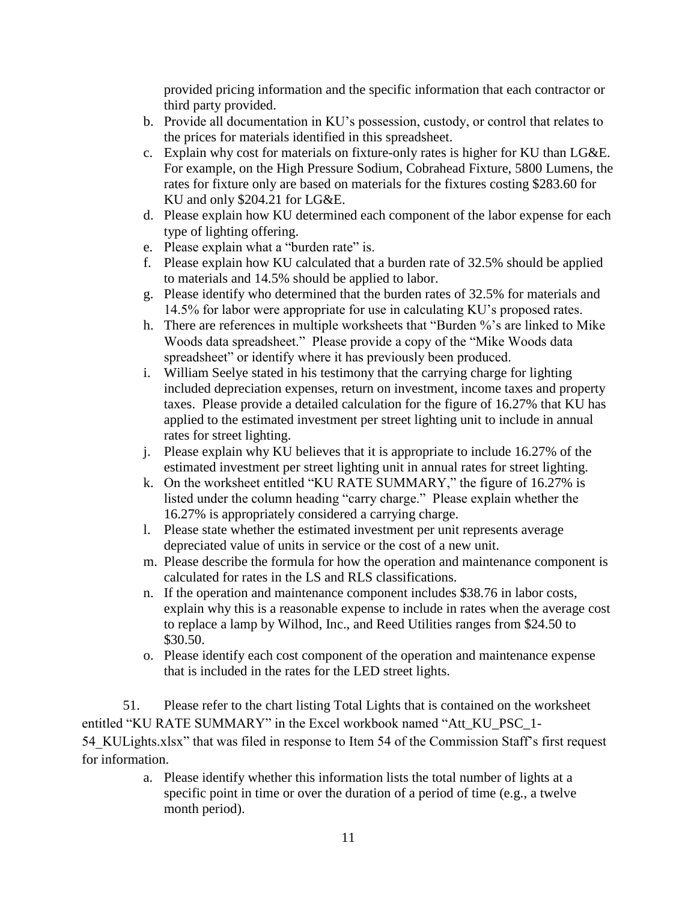provided pricing information and the specific information that each contractor or third party provided.

- b. Provide all documentation in KU's possession, custody, or control that relates to the prices for materials identified in this spreadsheet.
- c. Explain why cost for materials on fixture-only rates is higher for KU than LG&E. For example, on the High Pressure Sodium, Cobrahead Fixture, 5800 Lumens, the rates for fixture only are based on materials for the fixtures costing \$283.60 for KU and only \$204.21 for LG&E.
- d. Please explain how KU determined each component of the labor expense for each type of lighting offering.
- e. Please explain what a "burden rate" is.
- f. Please explain how KU calculated that a burden rate of 32.5% should be applied to materials and 14.5% should be applied to labor.
- g. Please identify who determined that the burden rates of 32.5% for materials and 14.5% for labor were appropriate for use in calculating KU's proposed rates.
- h. There are references in multiple worksheets that "Burden %'s are linked to Mike Woods data spreadsheet." Please provide a copy of the "Mike Woods data spreadsheet" or identify where it has previously been produced.
- i. William Seelye stated in his testimony that the carrying charge for lighting included depreciation expenses, return on investment, income taxes and property taxes. Please provide a detailed calculation for the figure of 16.27% that KU has applied to the estimated investment per street lighting unit to include in annual rates for street lighting.
- j. Please explain why KU believes that it is appropriate to include 16.27% of the estimated investment per street lighting unit in annual rates for street lighting.
- k. On the worksheet entitled "KU RATE SUMMARY," the figure of 16.27% is listed under the column heading "carry charge." Please explain whether the 16.27% is appropriately considered a carrying charge.
- l. Please state whether the estimated investment per unit represents average depreciated value of units in service or the cost of a new unit.
- m. Please describe the formula for how the operation and maintenance component is calculated for rates in the LS and RLS classifications.
- n. If the operation and maintenance component includes \$38.76 in labor costs, explain why this is a reasonable expense to include in rates when the average cost to replace a lamp by Wilhod, Inc., and Reed Utilities ranges from \$24.50 to \$30.50.
- o. Please identify each cost component of the operation and maintenance expense that is included in the rates for the LED street lights.

51. Please refer to the chart listing Total Lights that is contained on the worksheet entitled "KU RATE SUMMARY" in the Excel workbook named "Att\_KU\_PSC\_1- 54 KULights.xlsx" that was filed in response to Item 54 of the Commission Staff's first request for information.

> a. Please identify whether this information lists the total number of lights at a specific point in time or over the duration of a period of time (e.g., a twelve month period).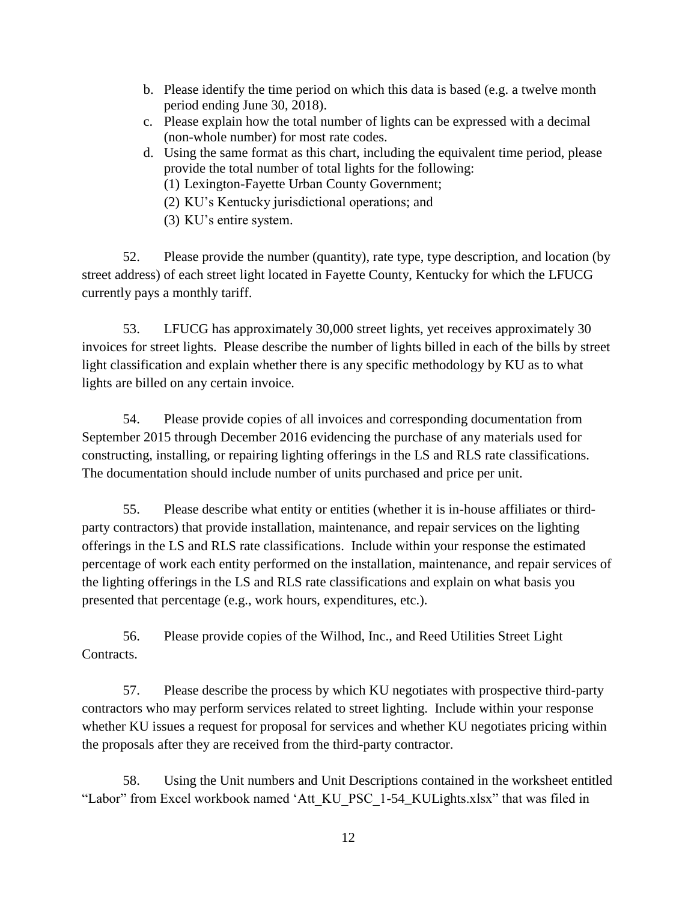- b. Please identify the time period on which this data is based (e.g. a twelve month period ending June 30, 2018).
- c. Please explain how the total number of lights can be expressed with a decimal (non-whole number) for most rate codes.
- d. Using the same format as this chart, including the equivalent time period, please provide the total number of total lights for the following:
	- (1) Lexington-Fayette Urban County Government;
	- (2) KU's Kentucky jurisdictional operations; and
	- (3) KU's entire system.

52. Please provide the number (quantity), rate type, type description, and location (by street address) of each street light located in Fayette County, Kentucky for which the LFUCG currently pays a monthly tariff.

53. LFUCG has approximately 30,000 street lights, yet receives approximately 30 invoices for street lights. Please describe the number of lights billed in each of the bills by street light classification and explain whether there is any specific methodology by KU as to what lights are billed on any certain invoice.

54. Please provide copies of all invoices and corresponding documentation from September 2015 through December 2016 evidencing the purchase of any materials used for constructing, installing, or repairing lighting offerings in the LS and RLS rate classifications. The documentation should include number of units purchased and price per unit.

55. Please describe what entity or entities (whether it is in-house affiliates or thirdparty contractors) that provide installation, maintenance, and repair services on the lighting offerings in the LS and RLS rate classifications. Include within your response the estimated percentage of work each entity performed on the installation, maintenance, and repair services of the lighting offerings in the LS and RLS rate classifications and explain on what basis you presented that percentage (e.g., work hours, expenditures, etc.).

56. Please provide copies of the Wilhod, Inc., and Reed Utilities Street Light Contracts.

57. Please describe the process by which KU negotiates with prospective third-party contractors who may perform services related to street lighting. Include within your response whether KU issues a request for proposal for services and whether KU negotiates pricing within the proposals after they are received from the third-party contractor.

58. Using the Unit numbers and Unit Descriptions contained in the worksheet entitled "Labor" from Excel workbook named 'Att\_KU\_PSC\_1-54\_KULights.xlsx" that was filed in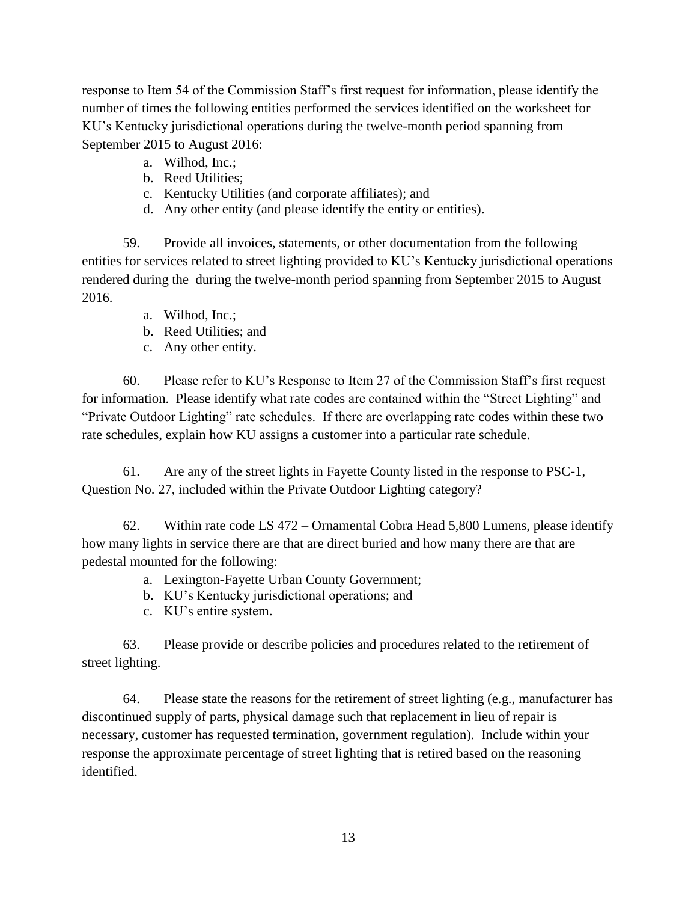response to Item 54 of the Commission Staff's first request for information, please identify the number of times the following entities performed the services identified on the worksheet for KU's Kentucky jurisdictional operations during the twelve-month period spanning from September 2015 to August 2016:

- a. Wilhod, Inc.;
- b. Reed Utilities;
- c. Kentucky Utilities (and corporate affiliates); and
- d. Any other entity (and please identify the entity or entities).

59. Provide all invoices, statements, or other documentation from the following entities for services related to street lighting provided to KU's Kentucky jurisdictional operations rendered during the during the twelve-month period spanning from September 2015 to August 2016.

- a. Wilhod, Inc.;
- b. Reed Utilities; and
- c. Any other entity.

60. Please refer to KU's Response to Item 27 of the Commission Staff's first request for information. Please identify what rate codes are contained within the "Street Lighting" and "Private Outdoor Lighting" rate schedules. If there are overlapping rate codes within these two rate schedules, explain how KU assigns a customer into a particular rate schedule.

61. Are any of the street lights in Fayette County listed in the response to PSC-1, Question No. 27, included within the Private Outdoor Lighting category?

62. Within rate code LS 472 – Ornamental Cobra Head 5,800 Lumens, please identify how many lights in service there are that are direct buried and how many there are that are pedestal mounted for the following:

- a. Lexington-Fayette Urban County Government;
- b. KU's Kentucky jurisdictional operations; and
- c. KU's entire system.

63. Please provide or describe policies and procedures related to the retirement of street lighting.

64. Please state the reasons for the retirement of street lighting (e.g., manufacturer has discontinued supply of parts, physical damage such that replacement in lieu of repair is necessary, customer has requested termination, government regulation). Include within your response the approximate percentage of street lighting that is retired based on the reasoning identified.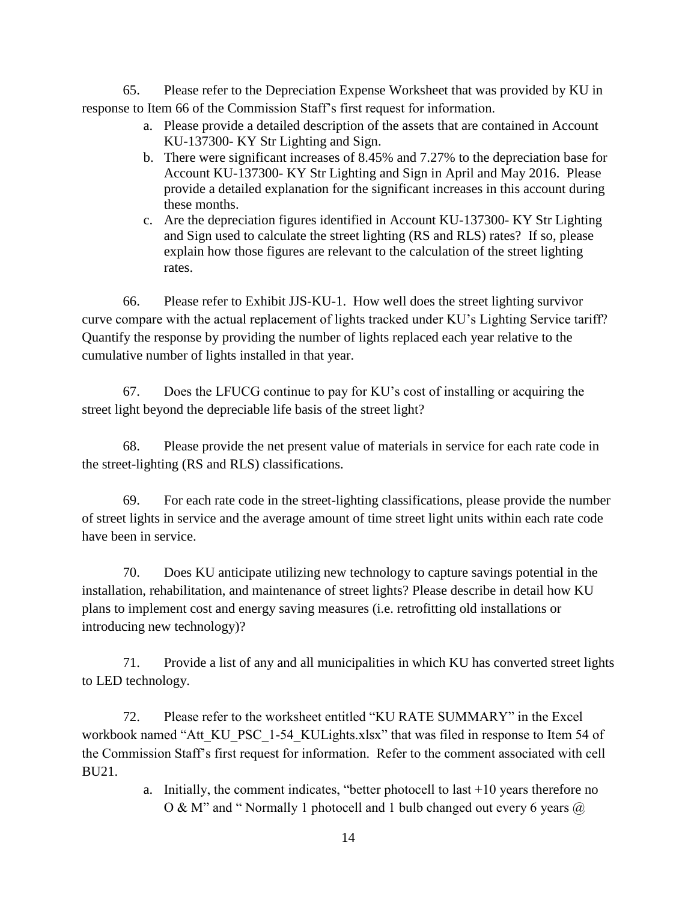65. Please refer to the Depreciation Expense Worksheet that was provided by KU in response to Item 66 of the Commission Staff's first request for information.

- a. Please provide a detailed description of the assets that are contained in Account KU-137300- KY Str Lighting and Sign.
- b. There were significant increases of 8.45% and 7.27% to the depreciation base for Account KU-137300- KY Str Lighting and Sign in April and May 2016. Please provide a detailed explanation for the significant increases in this account during these months.
- c. Are the depreciation figures identified in Account KU-137300- KY Str Lighting and Sign used to calculate the street lighting (RS and RLS) rates? If so, please explain how those figures are relevant to the calculation of the street lighting rates.

66. Please refer to Exhibit JJS-KU-1. How well does the street lighting survivor curve compare with the actual replacement of lights tracked under KU's Lighting Service tariff? Quantify the response by providing the number of lights replaced each year relative to the cumulative number of lights installed in that year.

67. Does the LFUCG continue to pay for KU's cost of installing or acquiring the street light beyond the depreciable life basis of the street light?

68. Please provide the net present value of materials in service for each rate code in the street-lighting (RS and RLS) classifications.

69. For each rate code in the street-lighting classifications, please provide the number of street lights in service and the average amount of time street light units within each rate code have been in service.

70. Does KU anticipate utilizing new technology to capture savings potential in the installation, rehabilitation, and maintenance of street lights? Please describe in detail how KU plans to implement cost and energy saving measures (i.e. retrofitting old installations or introducing new technology)?

71. Provide a list of any and all municipalities in which KU has converted street lights to LED technology.

72. Please refer to the worksheet entitled "KU RATE SUMMARY" in the Excel workbook named "Att\_KU\_PSC\_1-54\_KULights.xlsx" that was filed in response to Item 54 of the Commission Staff's first request for information. Refer to the comment associated with cell BU21.

> a. Initially, the comment indicates, "better photocell to last +10 years therefore no O & M" and " Normally 1 photocell and 1 bulb changed out every 6 years @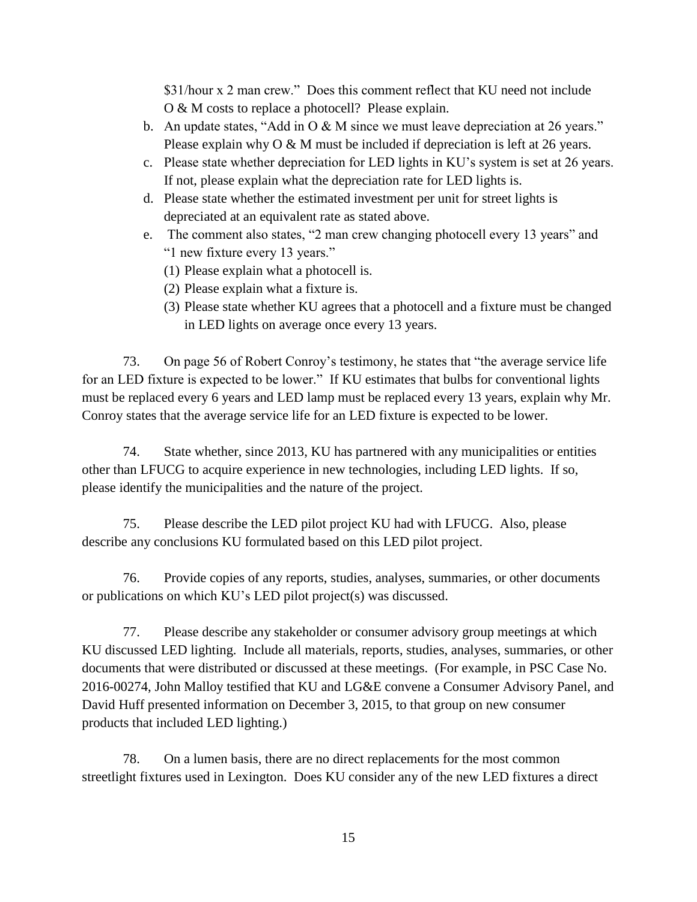\$31/hour x 2 man crew." Does this comment reflect that KU need not include O & M costs to replace a photocell? Please explain.

- b. An update states, "Add in  $\overline{O} \& M$  since we must leave depreciation at 26 years." Please explain why O & M must be included if depreciation is left at 26 years.
- c. Please state whether depreciation for LED lights in KU's system is set at 26 years. If not, please explain what the depreciation rate for LED lights is.
- d. Please state whether the estimated investment per unit for street lights is depreciated at an equivalent rate as stated above.
- e. The comment also states, "2 man crew changing photocell every 13 years" and "1 new fixture every 13 years."
	- (1) Please explain what a photocell is.
	- (2) Please explain what a fixture is.
	- (3) Please state whether KU agrees that a photocell and a fixture must be changed in LED lights on average once every 13 years.

73. On page 56 of Robert Conroy's testimony, he states that "the average service life for an LED fixture is expected to be lower." If KU estimates that bulbs for conventional lights must be replaced every 6 years and LED lamp must be replaced every 13 years, explain why Mr. Conroy states that the average service life for an LED fixture is expected to be lower.

74. State whether, since 2013, KU has partnered with any municipalities or entities other than LFUCG to acquire experience in new technologies, including LED lights. If so, please identify the municipalities and the nature of the project.

75. Please describe the LED pilot project KU had with LFUCG. Also, please describe any conclusions KU formulated based on this LED pilot project.

76. Provide copies of any reports, studies, analyses, summaries, or other documents or publications on which KU's LED pilot project(s) was discussed.

77. Please describe any stakeholder or consumer advisory group meetings at which KU discussed LED lighting. Include all materials, reports, studies, analyses, summaries, or other documents that were distributed or discussed at these meetings. (For example, in PSC Case No. 2016-00274, John Malloy testified that KU and LG&E convene a Consumer Advisory Panel, and David Huff presented information on December 3, 2015, to that group on new consumer products that included LED lighting.)

78. On a lumen basis, there are no direct replacements for the most common streetlight fixtures used in Lexington. Does KU consider any of the new LED fixtures a direct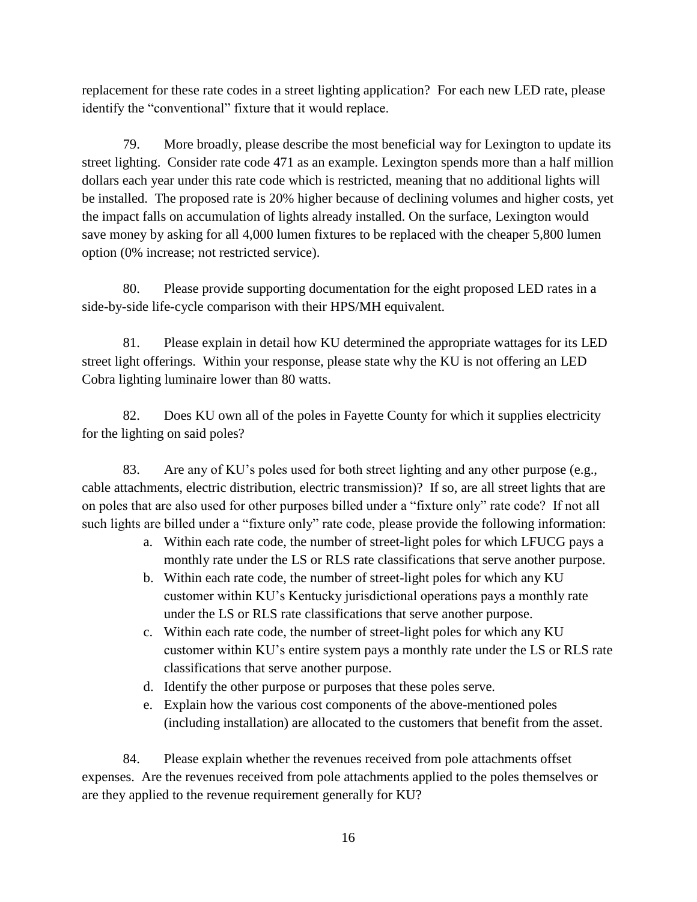replacement for these rate codes in a street lighting application? For each new LED rate, please identify the "conventional" fixture that it would replace.

79. More broadly, please describe the most beneficial way for Lexington to update its street lighting. Consider rate code 471 as an example. Lexington spends more than a half million dollars each year under this rate code which is restricted, meaning that no additional lights will be installed. The proposed rate is 20% higher because of declining volumes and higher costs, yet the impact falls on accumulation of lights already installed. On the surface, Lexington would save money by asking for all 4,000 lumen fixtures to be replaced with the cheaper 5,800 lumen option (0% increase; not restricted service).

80. Please provide supporting documentation for the eight proposed LED rates in a side-by-side life-cycle comparison with their HPS/MH equivalent.

81. Please explain in detail how KU determined the appropriate wattages for its LED street light offerings. Within your response, please state why the KU is not offering an LED Cobra lighting luminaire lower than 80 watts.

82. Does KU own all of the poles in Fayette County for which it supplies electricity for the lighting on said poles?

83. Are any of KU's poles used for both street lighting and any other purpose (e.g., cable attachments, electric distribution, electric transmission)? If so, are all street lights that are on poles that are also used for other purposes billed under a "fixture only" rate code? If not all such lights are billed under a "fixture only" rate code, please provide the following information:

- a. Within each rate code, the number of street-light poles for which LFUCG pays a monthly rate under the LS or RLS rate classifications that serve another purpose.
- b. Within each rate code, the number of street-light poles for which any KU customer within KU's Kentucky jurisdictional operations pays a monthly rate under the LS or RLS rate classifications that serve another purpose.
- c. Within each rate code, the number of street-light poles for which any KU customer within KU's entire system pays a monthly rate under the LS or RLS rate classifications that serve another purpose.
- d. Identify the other purpose or purposes that these poles serve.
- e. Explain how the various cost components of the above-mentioned poles (including installation) are allocated to the customers that benefit from the asset.

84. Please explain whether the revenues received from pole attachments offset expenses. Are the revenues received from pole attachments applied to the poles themselves or are they applied to the revenue requirement generally for KU?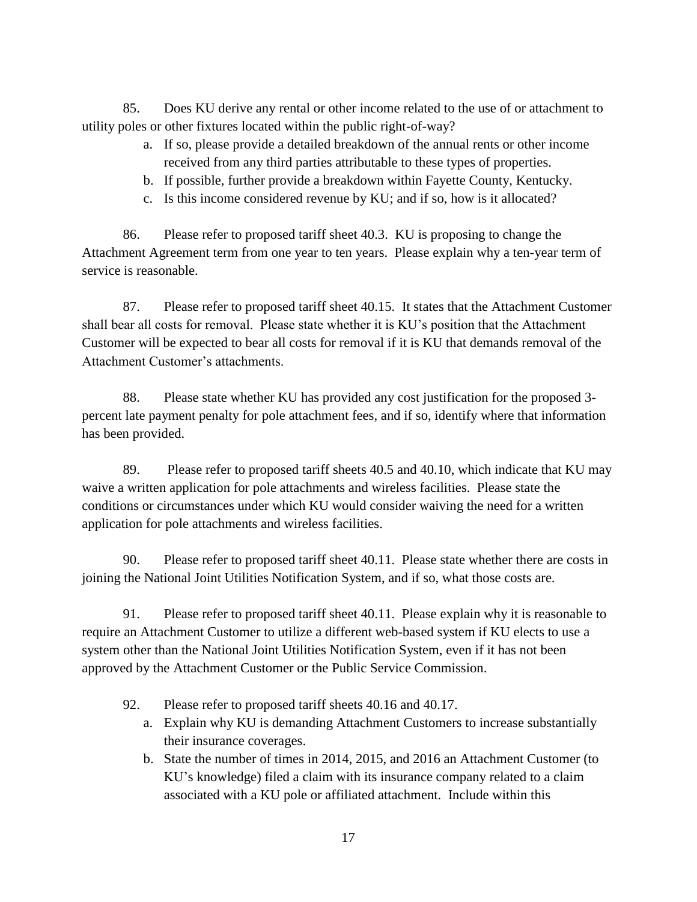85. Does KU derive any rental or other income related to the use of or attachment to utility poles or other fixtures located within the public right-of-way?

- a. If so, please provide a detailed breakdown of the annual rents or other income received from any third parties attributable to these types of properties.
- b. If possible, further provide a breakdown within Fayette County, Kentucky.
- c. Is this income considered revenue by KU; and if so, how is it allocated?

86. Please refer to proposed tariff sheet 40.3. KU is proposing to change the Attachment Agreement term from one year to ten years. Please explain why a ten-year term of service is reasonable.

87. Please refer to proposed tariff sheet 40.15. It states that the Attachment Customer shall bear all costs for removal. Please state whether it is KU's position that the Attachment Customer will be expected to bear all costs for removal if it is KU that demands removal of the Attachment Customer's attachments.

88. Please state whether KU has provided any cost justification for the proposed 3 percent late payment penalty for pole attachment fees, and if so, identify where that information has been provided.

89. Please refer to proposed tariff sheets 40.5 and 40.10, which indicate that KU may waive a written application for pole attachments and wireless facilities. Please state the conditions or circumstances under which KU would consider waiving the need for a written application for pole attachments and wireless facilities.

90. Please refer to proposed tariff sheet 40.11. Please state whether there are costs in joining the National Joint Utilities Notification System, and if so, what those costs are.

91. Please refer to proposed tariff sheet 40.11. Please explain why it is reasonable to require an Attachment Customer to utilize a different web-based system if KU elects to use a system other than the National Joint Utilities Notification System, even if it has not been approved by the Attachment Customer or the Public Service Commission.

- 92. Please refer to proposed tariff sheets 40.16 and 40.17.
	- a. Explain why KU is demanding Attachment Customers to increase substantially their insurance coverages.
	- b. State the number of times in 2014, 2015, and 2016 an Attachment Customer (to KU's knowledge) filed a claim with its insurance company related to a claim associated with a KU pole or affiliated attachment. Include within this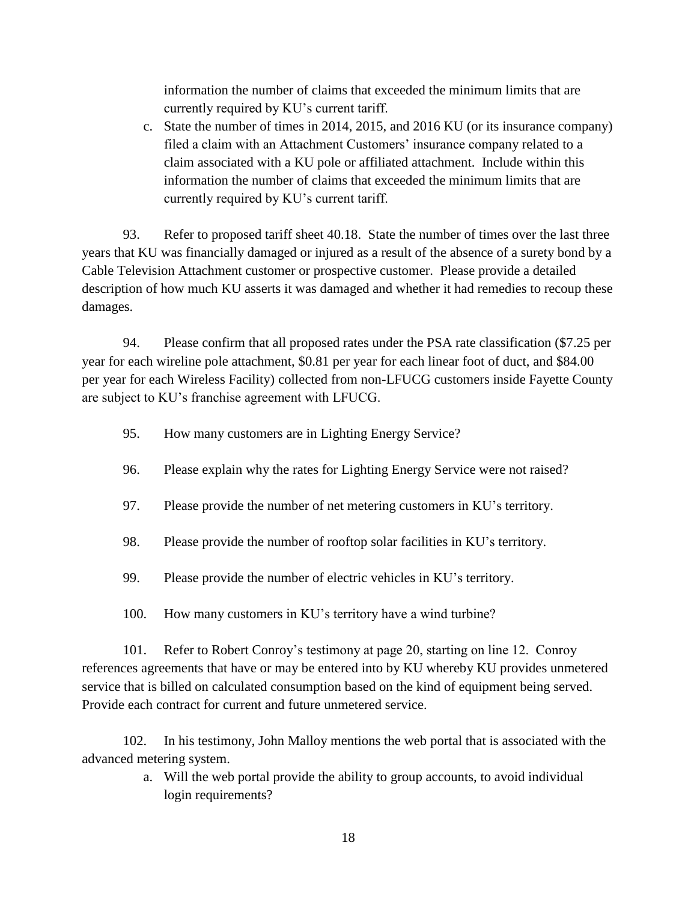information the number of claims that exceeded the minimum limits that are currently required by KU's current tariff.

c. State the number of times in 2014, 2015, and 2016 KU (or its insurance company) filed a claim with an Attachment Customers' insurance company related to a claim associated with a KU pole or affiliated attachment. Include within this information the number of claims that exceeded the minimum limits that are currently required by KU's current tariff.

93. Refer to proposed tariff sheet 40.18. State the number of times over the last three years that KU was financially damaged or injured as a result of the absence of a surety bond by a Cable Television Attachment customer or prospective customer. Please provide a detailed description of how much KU asserts it was damaged and whether it had remedies to recoup these damages.

94. Please confirm that all proposed rates under the PSA rate classification (\$7.25 per year for each wireline pole attachment, \$0.81 per year for each linear foot of duct, and \$84.00 per year for each Wireless Facility) collected from non-LFUCG customers inside Fayette County are subject to KU's franchise agreement with LFUCG.

- 95. How many customers are in Lighting Energy Service?
- 96. Please explain why the rates for Lighting Energy Service were not raised?
- 97. Please provide the number of net metering customers in KU's territory.
- 98. Please provide the number of rooftop solar facilities in KU's territory.
- 99. Please provide the number of electric vehicles in KU's territory.
- 100. How many customers in KU's territory have a wind turbine?

101. Refer to Robert Conroy's testimony at page 20, starting on line 12. Conroy references agreements that have or may be entered into by KU whereby KU provides unmetered service that is billed on calculated consumption based on the kind of equipment being served. Provide each contract for current and future unmetered service.

102. In his testimony, John Malloy mentions the web portal that is associated with the advanced metering system.

> a. Will the web portal provide the ability to group accounts, to avoid individual login requirements?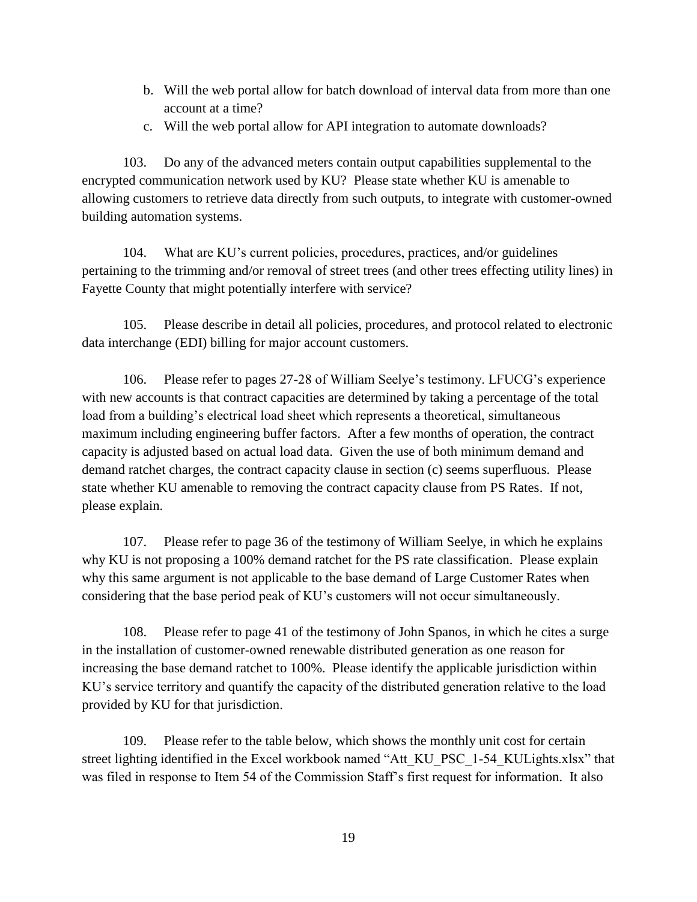- b. Will the web portal allow for batch download of interval data from more than one account at a time?
- c. Will the web portal allow for API integration to automate downloads?

103. Do any of the advanced meters contain output capabilities supplemental to the encrypted communication network used by KU? Please state whether KU is amenable to allowing customers to retrieve data directly from such outputs, to integrate with customer-owned building automation systems.

104. What are KU's current policies, procedures, practices, and/or guidelines pertaining to the trimming and/or removal of street trees (and other trees effecting utility lines) in Fayette County that might potentially interfere with service?

105. Please describe in detail all policies, procedures, and protocol related to electronic data interchange (EDI) billing for major account customers.

106. Please refer to pages 27-28 of William Seelye's testimony. LFUCG's experience with new accounts is that contract capacities are determined by taking a percentage of the total load from a building's electrical load sheet which represents a theoretical, simultaneous maximum including engineering buffer factors. After a few months of operation, the contract capacity is adjusted based on actual load data. Given the use of both minimum demand and demand ratchet charges, the contract capacity clause in section (c) seems superfluous. Please state whether KU amenable to removing the contract capacity clause from PS Rates. If not, please explain.

107. Please refer to page 36 of the testimony of William Seelye, in which he explains why KU is not proposing a 100% demand ratchet for the PS rate classification. Please explain why this same argument is not applicable to the base demand of Large Customer Rates when considering that the base period peak of KU's customers will not occur simultaneously.

108. Please refer to page 41 of the testimony of John Spanos, in which he cites a surge in the installation of customer-owned renewable distributed generation as one reason for increasing the base demand ratchet to 100%. Please identify the applicable jurisdiction within KU's service territory and quantify the capacity of the distributed generation relative to the load provided by KU for that jurisdiction.

109. Please refer to the table below, which shows the monthly unit cost for certain street lighting identified in the Excel workbook named "Att\_KU\_PSC\_1-54\_KULights.xlsx" that was filed in response to Item 54 of the Commission Staff's first request for information. It also